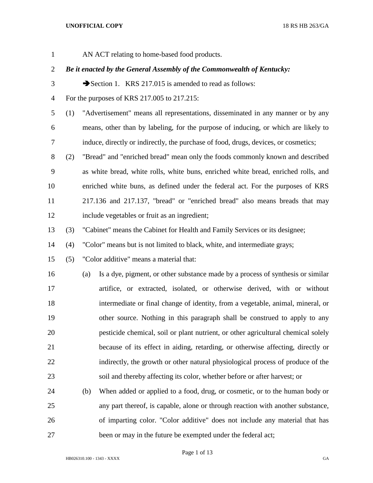AN ACT relating to home-based food products. *Be it enacted by the General Assembly of the Commonwealth of Kentucky:* 3 Section 1. KRS 217.015 is amended to read as follows: For the purposes of KRS 217.005 to 217.215: (1) "Advertisement" means all representations, disseminated in any manner or by any means, other than by labeling, for the purpose of inducing, or which are likely to induce, directly or indirectly, the purchase of food, drugs, devices, or cosmetics; (2) "Bread" and "enriched bread" mean only the foods commonly known and described as white bread, white rolls, white buns, enriched white bread, enriched rolls, and enriched white buns, as defined under the federal act. For the purposes of KRS 217.136 and 217.137, "bread" or "enriched bread" also means breads that may include vegetables or fruit as an ingredient; (3) "Cabinet" means the Cabinet for Health and Family Services or its designee; (4) "Color" means but is not limited to black, white, and intermediate grays; (5) "Color additive" means a material that: (a) Is a dye, pigment, or other substance made by a process of synthesis or similar artifice, or extracted, isolated, or otherwise derived, with or without intermediate or final change of identity, from a vegetable, animal, mineral, or other source. Nothing in this paragraph shall be construed to apply to any pesticide chemical, soil or plant nutrient, or other agricultural chemical solely because of its effect in aiding, retarding, or otherwise affecting, directly or indirectly, the growth or other natural physiological process of produce of the soil and thereby affecting its color, whether before or after harvest; or (b) When added or applied to a food, drug, or cosmetic, or to the human body or any part thereof, is capable, alone or through reaction with another substance, of imparting color. "Color additive" does not include any material that has

HB026310.100 - 1343 - XXXX GA

Page 1 of 13

27 been or may in the future be exempted under the federal act;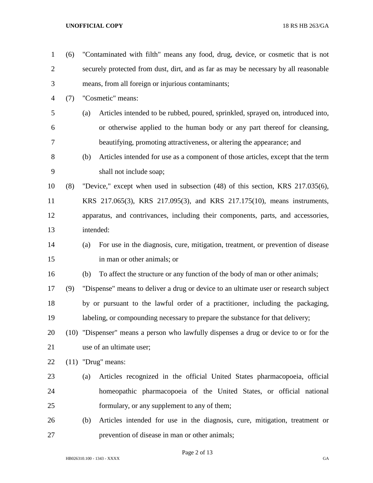| $\mathbf 1$    | (6) |     | "Contaminated with filth" means any food, drug, device, or cosmetic that is not       |
|----------------|-----|-----|---------------------------------------------------------------------------------------|
| $\overline{2}$ |     |     | securely protected from dust, dirt, and as far as may be necessary by all reasonable  |
| 3              |     |     | means, from all foreign or injurious contaminants;                                    |
| $\overline{4}$ | (7) |     | "Cosmetic" means:                                                                     |
| 5              |     | (a) | Articles intended to be rubbed, poured, sprinkled, sprayed on, introduced into,       |
| 6              |     |     | or otherwise applied to the human body or any part thereof for cleansing,             |
| 7              |     |     | beautifying, promoting attractiveness, or altering the appearance; and                |
| 8              |     | (b) | Articles intended for use as a component of those articles, except that the term      |
| 9              |     |     | shall not include soap;                                                               |
| 10             | (8) |     | "Device," except when used in subsection (48) of this section, KRS 217.035(6),        |
| 11             |     |     | KRS 217.065(3), KRS 217.095(3), and KRS 217.175(10), means instruments,               |
| 12             |     |     | apparatus, and contrivances, including their components, parts, and accessories,      |
| 13             |     |     | intended:                                                                             |
| 14             |     | (a) | For use in the diagnosis, cure, mitigation, treatment, or prevention of disease       |
| 15             |     |     | in man or other animals; or                                                           |
| 16             |     | (b) | To affect the structure or any function of the body of man or other animals;          |
| 17             | (9) |     | "Dispense" means to deliver a drug or device to an ultimate user or research subject  |
| 18             |     |     | by or pursuant to the lawful order of a practitioner, including the packaging,        |
| 19             |     |     | labeling, or compounding necessary to prepare the substance for that delivery;        |
| 20             |     |     | (10) "Dispenser" means a person who lawfully dispenses a drug or device to or for the |
| 21             |     |     | use of an ultimate user;                                                              |
| 22             |     |     | $(11)$ "Drug" means:                                                                  |
| 23             |     | (a) | Articles recognized in the official United States pharmacopoeia, official             |
| 24             |     |     | homeopathic pharmacopoeia of the United States, or official national                  |
| 25             |     |     | formulary, or any supplement to any of them;                                          |
| 26             |     | (b) | Articles intended for use in the diagnosis, cure, mitigation, treatment or            |
| 27             |     |     | prevention of disease in man or other animals;                                        |

# Page 2 of 13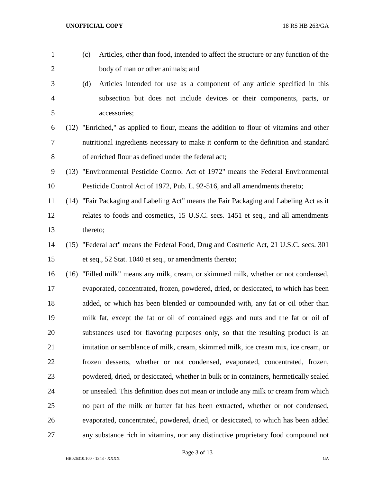(c) Articles, other than food, intended to affect the structure or any function of the body of man or other animals; and (d) Articles intended for use as a component of any article specified in this subsection but does not include devices or their components, parts, or accessories; (12) "Enriched," as applied to flour, means the addition to flour of vitamins and other nutritional ingredients necessary to make it conform to the definition and standard of enriched flour as defined under the federal act; (13) "Environmental Pesticide Control Act of 1972" means the Federal Environmental Pesticide Control Act of 1972, Pub. L. 92-516, and all amendments thereto; (14) "Fair Packaging and Labeling Act" means the Fair Packaging and Labeling Act as it relates to foods and cosmetics, 15 U.S.C. secs. 1451 et seq., and all amendments thereto; (15) "Federal act" means the Federal Food, Drug and Cosmetic Act, 21 U.S.C. secs. 301 et seq., 52 Stat. 1040 et seq., or amendments thereto; (16) "Filled milk" means any milk, cream, or skimmed milk, whether or not condensed, evaporated, concentrated, frozen, powdered, dried, or desiccated, to which has been added, or which has been blended or compounded with, any fat or oil other than milk fat, except the fat or oil of contained eggs and nuts and the fat or oil of substances used for flavoring purposes only, so that the resulting product is an imitation or semblance of milk, cream, skimmed milk, ice cream mix, ice cream, or frozen desserts, whether or not condensed, evaporated, concentrated, frozen, powdered, dried, or desiccated, whether in bulk or in containers, hermetically sealed or unsealed. This definition does not mean or include any milk or cream from which no part of the milk or butter fat has been extracted, whether or not condensed, evaporated, concentrated, powdered, dried, or desiccated, to which has been added any substance rich in vitamins, nor any distinctive proprietary food compound not

Page 3 of 13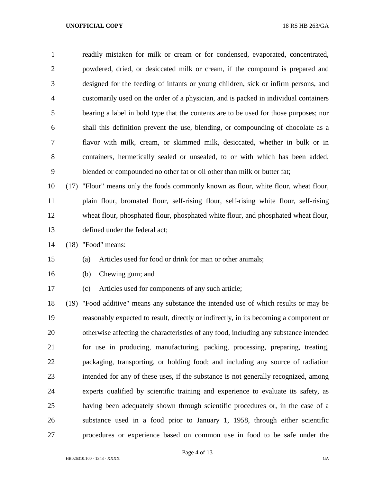readily mistaken for milk or cream or for condensed, evaporated, concentrated, powdered, dried, or desiccated milk or cream, if the compound is prepared and designed for the feeding of infants or young children, sick or infirm persons, and customarily used on the order of a physician, and is packed in individual containers bearing a label in bold type that the contents are to be used for those purposes; nor shall this definition prevent the use, blending, or compounding of chocolate as a flavor with milk, cream, or skimmed milk, desiccated, whether in bulk or in containers, hermetically sealed or unsealed, to or with which has been added, blended or compounded no other fat or oil other than milk or butter fat;

 (17) "Flour" means only the foods commonly known as flour, white flour, wheat flour, plain flour, bromated flour, self-rising flour, self-rising white flour, self-rising wheat flour, phosphated flour, phosphated white flour, and phosphated wheat flour, defined under the federal act;

(18) "Food" means:

## (a) Articles used for food or drink for man or other animals;

(b) Chewing gum; and

(c) Articles used for components of any such article;

 (19) "Food additive" means any substance the intended use of which results or may be reasonably expected to result, directly or indirectly, in its becoming a component or otherwise affecting the characteristics of any food, including any substance intended for use in producing, manufacturing, packing, processing, preparing, treating, packaging, transporting, or holding food; and including any source of radiation intended for any of these uses, if the substance is not generally recognized, among experts qualified by scientific training and experience to evaluate its safety, as having been adequately shown through scientific procedures or, in the case of a substance used in a food prior to January 1, 1958, through either scientific procedures or experience based on common use in food to be safe under the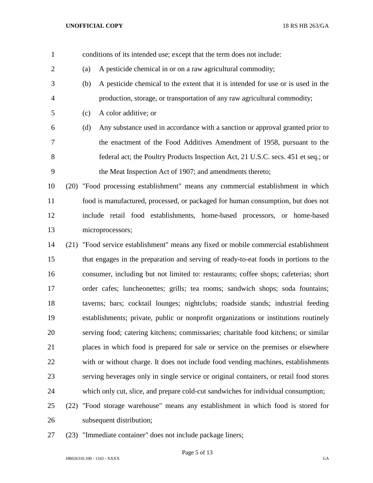- conditions of its intended use; except that the term does not include: (a) A pesticide chemical in or on a raw agricultural commodity; (b) A pesticide chemical to the extent that it is intended for use or is used in the production, storage, or transportation of any raw agricultural commodity; (c) A color additive; or (d) Any substance used in accordance with a sanction or approval granted prior to the enactment of the Food Additives Amendment of 1958, pursuant to the
- federal act; the Poultry Products Inspection Act, 21 U.S.C. secs. 451 et seq.; or the Meat Inspection Act of 1907; and amendments thereto;
- (20) "Food processing establishment" means any commercial establishment in which food is manufactured, processed, or packaged for human consumption, but does not include retail food establishments, home-based processors, or home-based microprocessors;
- (21) "Food service establishment" means any fixed or mobile commercial establishment that engages in the preparation and serving of ready-to-eat foods in portions to the consumer, including but not limited to: restaurants; coffee shops; cafeterias; short order cafes; luncheonettes; grills; tea rooms; sandwich shops; soda fountains; taverns; bars; cocktail lounges; nightclubs; roadside stands; industrial feeding establishments; private, public or nonprofit organizations or institutions routinely serving food; catering kitchens; commissaries; charitable food kitchens; or similar places in which food is prepared for sale or service on the premises or elsewhere with or without charge. It does not include food vending machines, establishments serving beverages only in single service or original containers, or retail food stores which only cut, slice, and prepare cold-cut sandwiches for individual consumption;
- (22) "Food storage warehouse" means any establishment in which food is stored for subsequent distribution;
- (23) "Immediate container" does not include package liners;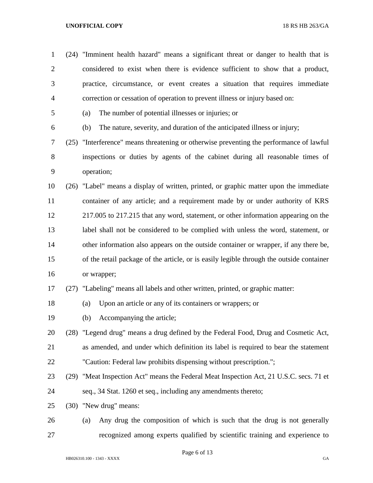| $\mathbf{1}$   | (24) "Imminent health hazard" means a significant threat or danger to health that is     |
|----------------|------------------------------------------------------------------------------------------|
| $\overline{2}$ | considered to exist when there is evidence sufficient to show that a product,            |
| 3              | practice, circumstance, or event creates a situation that requires immediate             |
| $\overline{4}$ | correction or cessation of operation to prevent illness or injury based on:              |
| 5              | The number of potential illnesses or injuries; or<br>(a)                                 |
| 6              | The nature, severity, and duration of the anticipated illness or injury;<br>(b)          |
| 7              | (25) "Interference" means threatening or otherwise preventing the performance of lawful  |
| $8\,$          | inspections or duties by agents of the cabinet during all reasonable times of            |
| 9              | operation;                                                                               |
| 10             | (26) "Label" means a display of written, printed, or graphic matter upon the immediate   |
| 11             | container of any article; and a requirement made by or under authority of KRS            |
| 12             | 217.005 to 217.215 that any word, statement, or other information appearing on the       |
| 13             | label shall not be considered to be complied with unless the word, statement, or         |
| 14             | other information also appears on the outside container or wrapper, if any there be,     |
| 15             | of the retail package of the article, or is easily legible through the outside container |
| 16             | or wrapper;                                                                              |
| 17             | (27) "Labeling" means all labels and other written, printed, or graphic matter:          |
| 18             | Upon an article or any of its containers or wrappers; or<br>(a)                          |
| 19             | Accompanying the article;<br>(b)                                                         |
| 20             | (28) "Legend drug" means a drug defined by the Federal Food, Drug and Cosmetic Act,      |
| 21             | as amended, and under which definition its label is required to bear the statement       |
| 22             | "Caution: Federal law prohibits dispensing without prescription.";                       |
| 23             | (29) "Meat Inspection Act" means the Federal Meat Inspection Act, 21 U.S.C. secs. 71 et  |
| 24             | seq., 34 Stat. 1260 et seq., including any amendments thereto;                           |
| 25             | (30) "New drug" means:                                                                   |
| 26             | Any drug the composition of which is such that the drug is not generally<br>(a)          |
| 27             | recognized among experts qualified by scientific training and experience to              |

Page 6 of 13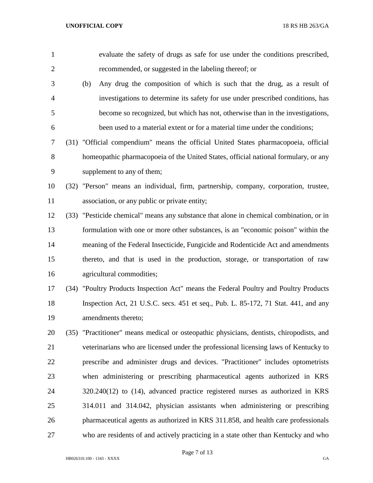| $\mathbf{1}$   | evaluate the safety of drugs as safe for use under the conditions prescribed,            |
|----------------|------------------------------------------------------------------------------------------|
| $\overline{2}$ | recommended, or suggested in the labeling thereof; or                                    |
| 3              | Any drug the composition of which is such that the drug, as a result of<br>(b)           |
| $\overline{4}$ | investigations to determine its safety for use under prescribed conditions, has          |
| 5              | become so recognized, but which has not, otherwise than in the investigations,           |
| 6              | been used to a material extent or for a material time under the conditions;              |
| 7              | (31) "Official compendium" means the official United States pharmacopoeia, official      |
| $8\,$          | homeopathic pharmacopoeia of the United States, official national formulary, or any      |
| 9              | supplement to any of them;                                                               |
| 10             | (32) "Person" means an individual, firm, partnership, company, corporation, trustee,     |
| 11             | association, or any public or private entity;                                            |
| 12             | (33) "Pesticide chemical" means any substance that alone in chemical combination, or in  |
| 13             | formulation with one or more other substances, is an "economic poison" within the        |
| 14             | meaning of the Federal Insecticide, Fungicide and Rodenticide Act and amendments         |
| 15             | thereto, and that is used in the production, storage, or transportation of raw           |
| 16             | agricultural commodities;                                                                |
| 17             | (34) "Poultry Products Inspection Act" means the Federal Poultry and Poultry Products    |
| 18             | Inspection Act, 21 U.S.C. secs. 451 et seq., Pub. L. 85-172, 71 Stat. 441, and any       |
| 19             | amendments thereto;                                                                      |
| 20             | (35) "Practitioner" means medical or osteopathic physicians, dentists, chiropodists, and |
| 21             | veterinarians who are licensed under the professional licensing laws of Kentucky to      |
| 22             | prescribe and administer drugs and devices. "Practitioner" includes optometrists         |
| 23             | when administering or prescribing pharmaceutical agents authorized in KRS                |
| 24             | $320.240(12)$ to $(14)$ , advanced practice registered nurses as authorized in KRS       |
| 25             | 314.011 and 314.042, physician assistants when administering or prescribing              |
| 26             | pharmaceutical agents as authorized in KRS 311.858, and health care professionals        |
| 27             | who are residents of and actively practicing in a state other than Kentucky and who      |

Page 7 of 13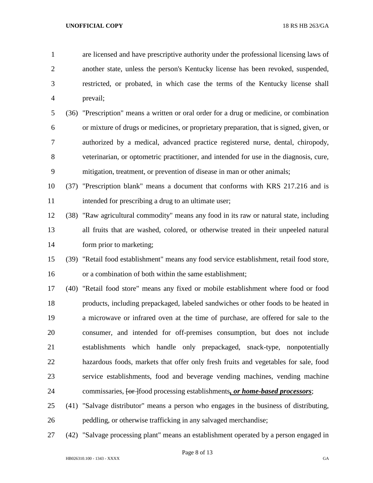are licensed and have prescriptive authority under the professional licensing laws of another state, unless the person's Kentucky license has been revoked, suspended, restricted, or probated, in which case the terms of the Kentucky license shall prevail;

 (36) "Prescription" means a written or oral order for a drug or medicine, or combination or mixture of drugs or medicines, or proprietary preparation, that is signed, given, or authorized by a medical, advanced practice registered nurse, dental, chiropody, veterinarian, or optometric practitioner, and intended for use in the diagnosis, cure, mitigation, treatment, or prevention of disease in man or other animals;

 (37) "Prescription blank" means a document that conforms with KRS 217.216 and is 11 intended for prescribing a drug to an ultimate user;

- (38) "Raw agricultural commodity" means any food in its raw or natural state, including all fruits that are washed, colored, or otherwise treated in their unpeeled natural form prior to marketing;
- (39) "Retail food establishment" means any food service establishment, retail food store, or a combination of both within the same establishment;

 (40) "Retail food store" means any fixed or mobile establishment where food or food products, including prepackaged, labeled sandwiches or other foods to be heated in a microwave or infrared oven at the time of purchase, are offered for sale to the consumer, and intended for off-premises consumption, but does not include establishments which handle only prepackaged, snack-type, nonpotentially hazardous foods, markets that offer only fresh fruits and vegetables for sale, food service establishments, food and beverage vending machines, vending machine commissaries, [or ]food processing establishments*, or home-based processors*;

- (41) "Salvage distributor" means a person who engages in the business of distributing, peddling, or otherwise trafficking in any salvaged merchandise;
- (42) "Salvage processing plant" means an establishment operated by a person engaged in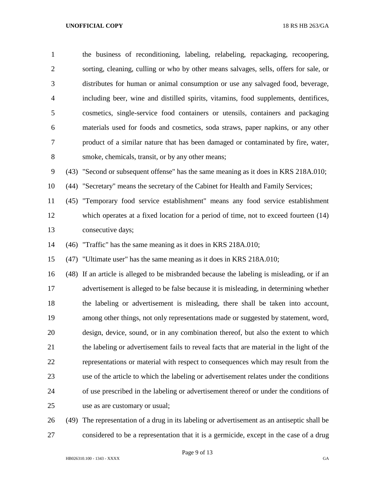the business of reconditioning, labeling, relabeling, repackaging, recoopering, sorting, cleaning, culling or who by other means salvages, sells, offers for sale, or distributes for human or animal consumption or use any salvaged food, beverage, including beer, wine and distilled spirits, vitamins, food supplements, dentifices, cosmetics, single-service food containers or utensils, containers and packaging materials used for foods and cosmetics, soda straws, paper napkins, or any other product of a similar nature that has been damaged or contaminated by fire, water, smoke, chemicals, transit, or by any other means; (43) "Second or subsequent offense" has the same meaning as it does in KRS 218A.010; (44) "Secretary" means the secretary of the Cabinet for Health and Family Services; (45) "Temporary food service establishment" means any food service establishment which operates at a fixed location for a period of time, not to exceed fourteen (14) consecutive days; (46) "Traffic" has the same meaning as it does in KRS 218A.010; (47) "Ultimate user" has the same meaning as it does in KRS 218A.010; (48) If an article is alleged to be misbranded because the labeling is misleading, or if an advertisement is alleged to be false because it is misleading, in determining whether the labeling or advertisement is misleading, there shall be taken into account, among other things, not only representations made or suggested by statement, word, design, device, sound, or in any combination thereof, but also the extent to which the labeling or advertisement fails to reveal facts that are material in the light of the representations or material with respect to consequences which may result from the use of the article to which the labeling or advertisement relates under the conditions of use prescribed in the labeling or advertisement thereof or under the conditions of use as are customary or usual; (49) The representation of a drug in its labeling or advertisement as an antiseptic shall be

considered to be a representation that it is a germicide, except in the case of a drug

Page 9 of 13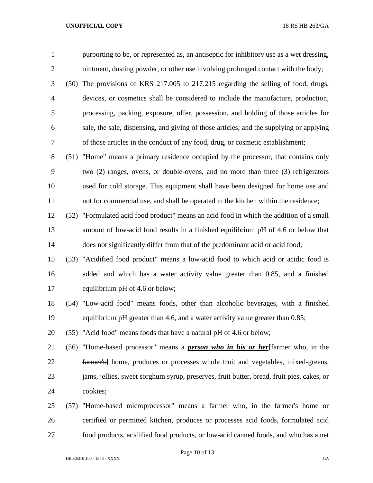purporting to be, or represented as, an antiseptic for inhibitory use as a wet dressing, ointment, dusting powder, or other use involving prolonged contact with the body;

 (50) The provisions of KRS 217.005 to 217.215 regarding the selling of food, drugs, devices, or cosmetics shall be considered to include the manufacture, production, processing, packing, exposure, offer, possession, and holding of those articles for sale, the sale, dispensing, and giving of those articles, and the supplying or applying of those articles in the conduct of any food, drug, or cosmetic establishment;

 (51) "Home" means a primary residence occupied by the processor, that contains only two (2) ranges, ovens, or double-ovens, and no more than three (3) refrigerators used for cold storage. This equipment shall have been designed for home use and not for commercial use, and shall be operated in the kitchen within the residence;

 (52) "Formulated acid food product" means an acid food in which the addition of a small amount of low-acid food results in a finished equilibrium pH of 4.6 or below that does not significantly differ from that of the predominant acid or acid food;

 (53) "Acidified food product" means a low-acid food to which acid or acidic food is added and which has a water activity value greater than 0.85, and a finished 17 equilibrium pH of 4.6 or below;

 (54) "Low-acid food" means foods, other than alcoholic beverages, with a finished equilibrium pH greater than 4.6, and a water activity value greater than 0.85;

(55) "Acid food" means foods that have a natural pH of 4.6 or below;

 (56) "Home-based processor" means a *person who in his or her*[farmer who, in the farmer's] home, produces or processes whole fruit and vegetables, mixed-greens, jams, jellies, sweet sorghum syrup, preserves, fruit butter, bread, fruit pies, cakes, or cookies;

 (57) "Home-based microprocessor" means a farmer who, in the farmer's home or certified or permitted kitchen, produces or processes acid foods, formulated acid food products, acidified food products, or low-acid canned foods, and who has a net

Page 10 of 13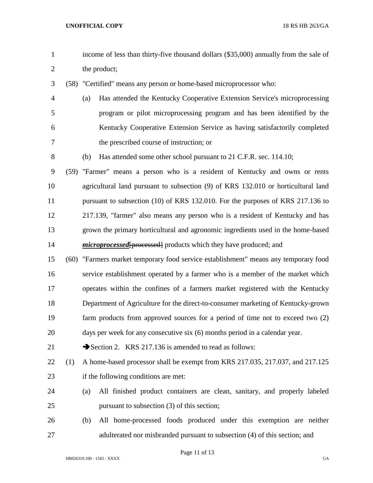income of less than thirty-five thousand dollars (\$35,000) annually from the sale of the product; (58) "Certified" means any person or home-based microprocessor who: (a) Has attended the Kentucky Cooperative Extension Service's microprocessing program or pilot microprocessing program and has been identified by the Kentucky Cooperative Extension Service as having satisfactorily completed the prescribed course of instruction; or (b) Has attended some other school pursuant to 21 C.F.R. sec. 114.10; (59) "Farmer" means a person who is a resident of Kentucky and owns or rents agricultural land pursuant to subsection (9) of KRS 132.010 or horticultural land 11 pursuant to subsection (10) of KRS 132.010. For the purposes of KRS 217.136 to 217.139, "farmer" also means any person who is a resident of Kentucky and has grown the primary horticultural and agronomic ingredients used in the home-based *microprocessed* [processed] products which they have produced; and (60) "Farmers market temporary food service establishment" means any temporary food service establishment operated by a farmer who is a member of the market which operates within the confines of a farmers market registered with the Kentucky Department of Agriculture for the direct-to-consumer marketing of Kentucky-grown farm products from approved sources for a period of time not to exceed two (2) days per week for any consecutive six (6) months period in a calendar year. 21 Section 2. KRS 217.136 is amended to read as follows: (1) A home-based processor shall be exempt from KRS 217.035, 217.037, and 217.125 if the following conditions are met: (a) All finished product containers are clean, sanitary, and properly labeled pursuant to subsection (3) of this section; (b) All home-processed foods produced under this exemption are neither adulterated nor misbranded pursuant to subsection (4) of this section; and

Page 11 of 13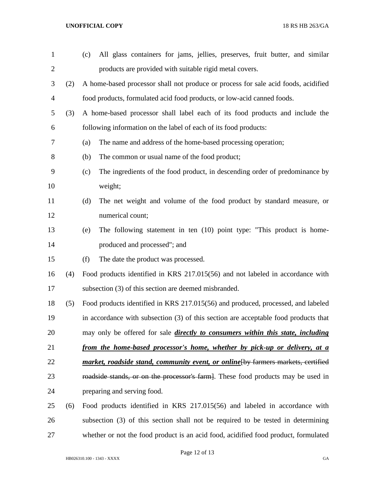| $\mathbf{1}$   |     | All glass containers for jams, jellies, preserves, fruit butter, and similar<br>(c)    |
|----------------|-----|----------------------------------------------------------------------------------------|
| $\overline{2}$ |     | products are provided with suitable rigid metal covers.                                |
| 3              | (2) | A home-based processor shall not produce or process for sale acid foods, acidified     |
| $\overline{4}$ |     | food products, formulated acid food products, or low-acid canned foods.                |
| 5              | (3) | A home-based processor shall label each of its food products and include the           |
| 6              |     | following information on the label of each of its food products:                       |
| 7              |     | The name and address of the home-based processing operation;<br>(a)                    |
| 8              |     | The common or usual name of the food product;<br>(b)                                   |
| 9              |     | The ingredients of the food product, in descending order of predominance by<br>(c)     |
| 10             |     | weight;                                                                                |
| 11             |     | The net weight and volume of the food product by standard measure, or<br>(d)           |
| 12             |     | numerical count;                                                                       |
| 13             |     | The following statement in ten (10) point type: "This product is home-<br>(e)          |
| 14             |     | produced and processed"; and                                                           |
| 15             |     | The date the product was processed.<br>(f)                                             |
| 16             | (4) | Food products identified in KRS 217.015(56) and not labeled in accordance with         |
| 17             |     | subsection (3) of this section are deemed misbranded.                                  |
| 18             | (5) | Food products identified in KRS 217.015(56) and produced, processed, and labeled       |
| 19             |     | in accordance with subsection (3) of this section are acceptable food products that    |
| 20             |     | may only be offered for sale <i>directly to consumers within this state, including</i> |
| 21             |     | from the home-based processor's home, whether by pick-up or delivery, at a             |
| 22             |     | market, roadside stand, community event, or online [by farmers markets, certified      |
| 23             |     | roadside stands, or on the processor's farm. These food products may be used in        |
| 24             |     | preparing and serving food.                                                            |
| 25             | (6) | Food products identified in KRS 217.015(56) and labeled in accordance with             |
| 26             |     | subsection (3) of this section shall not be required to be tested in determining       |
| 27             |     | whether or not the food product is an acid food, acidified food product, formulated    |

Page 12 of 13